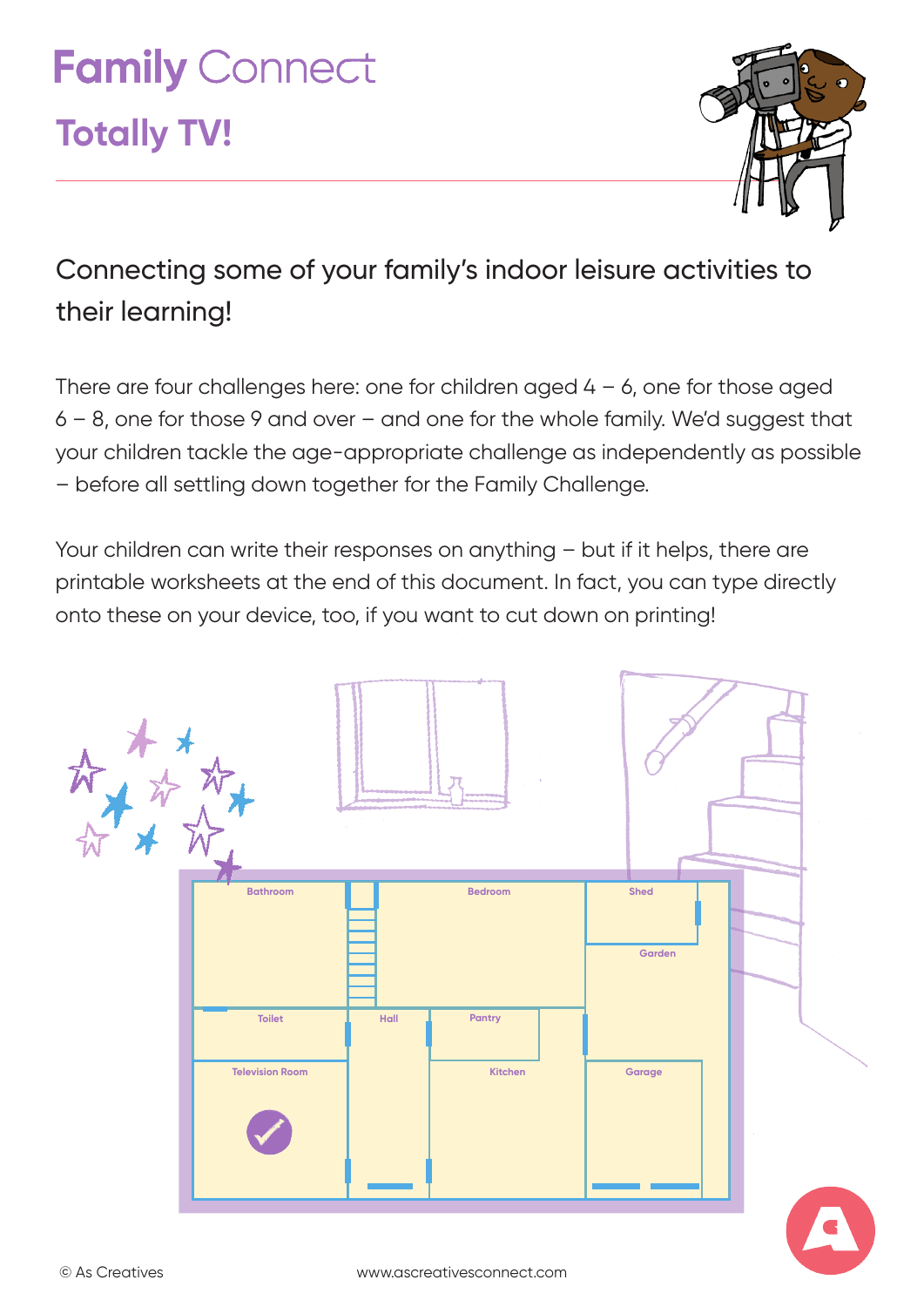# **Family Connect**

## **Totally TV!**



### Connecting some of your family's indoor leisure activities to their learning!

There are four challenges here: one for children aged  $4 - 6$ , one for those aged 6 – 8, one for those 9 and over – and one for the whole family. We'd suggest that your children tackle the age-appropriate challenge as independently as possible – before all settling down together for the Family Challenge.

Your children can write their responses on anything – but if it helps, there are printable worksheets at the end of this document. In fact, you can type directly onto these on your device, too, if you want to cut down on printing!

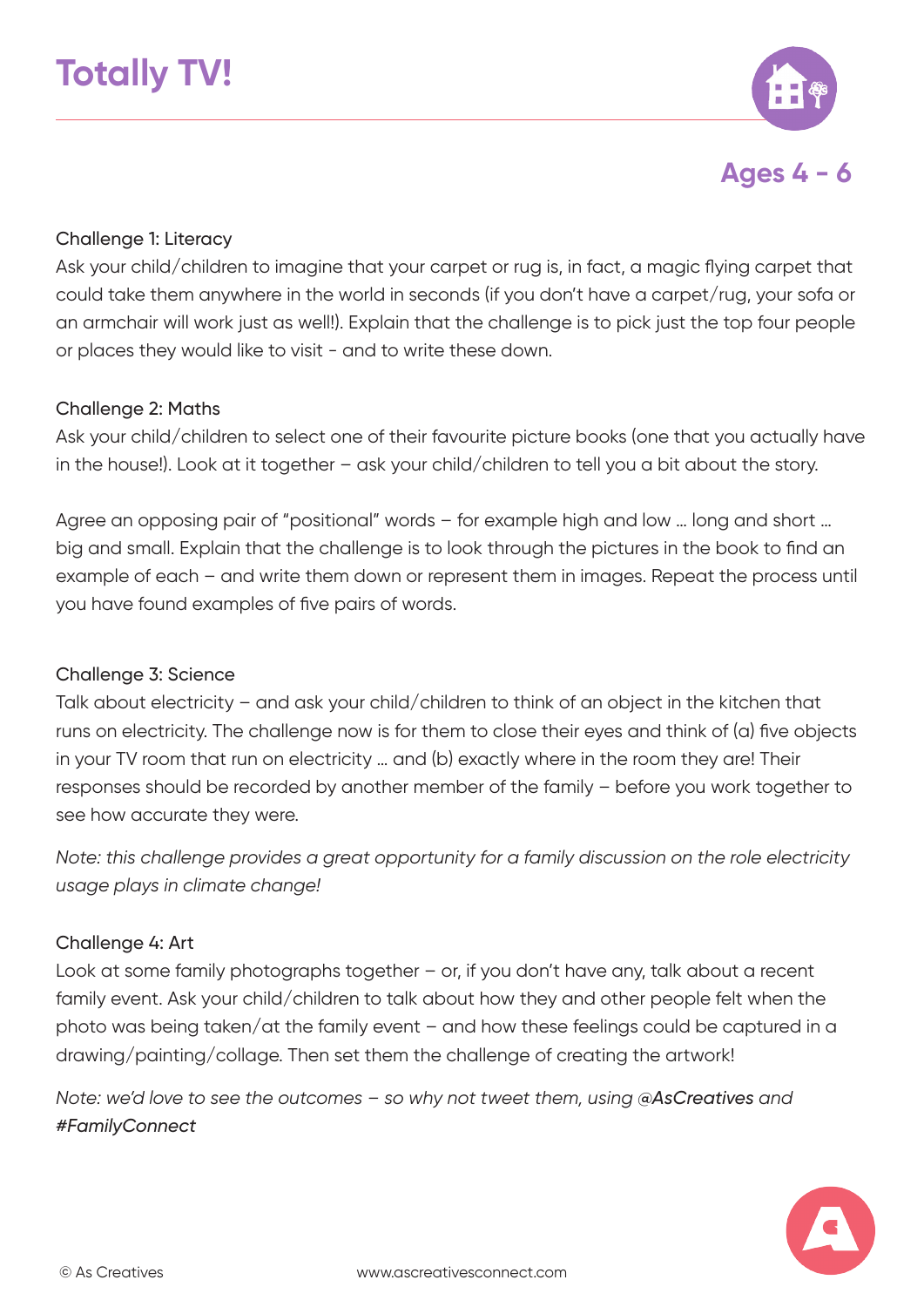



#### Challenge 1: Literacy

Ask your child/children to imagine that your carpet or rug is, in fact, a magic flying carpet that could take them anywhere in the world in seconds (if you don't have a carpet/rug, your sofa or an armchair will work just as well!). Explain that the challenge is to pick just the top four people or places they would like to visit - and to write these down.

#### Challenge 2: Maths

Ask your child/children to select one of their favourite picture books (one that you actually have in the house!). Look at it together – ask your child/children to tell you a bit about the story.

Agree an opposing pair of "positional" words – for example high and low … long and short … big and small. Explain that the challenge is to look through the pictures in the book to find an example of each – and write them down or represent them in images. Repeat the process until you have found examples of five pairs of words.

#### Challenge 3: Science

Talk about electricity – and ask your child/children to think of an object in the kitchen that runs on electricity. The challenge now is for them to close their eyes and think of (a) five objects in your TV room that run on electricity … and (b) exactly where in the room they are! Their responses should be recorded by another member of the family – before you work together to see how accurate they were.

*Note: this challenge provides a great opportunity for a family discussion on the role electricity usage plays in climate change!*

#### Challenge 4: Art

Look at some family photographs together – or, if you don't have any, talk about a recent family event. Ask your child/children to talk about how they and other people felt when the photo was being taken/at the family event – and how these feelings could be captured in a drawing/painting/collage. Then set them the challenge of creating the artwork!

*Note: we'd love to see the outcomes - so why not tweet them, using @AsCreatives and #FamilyConnect*

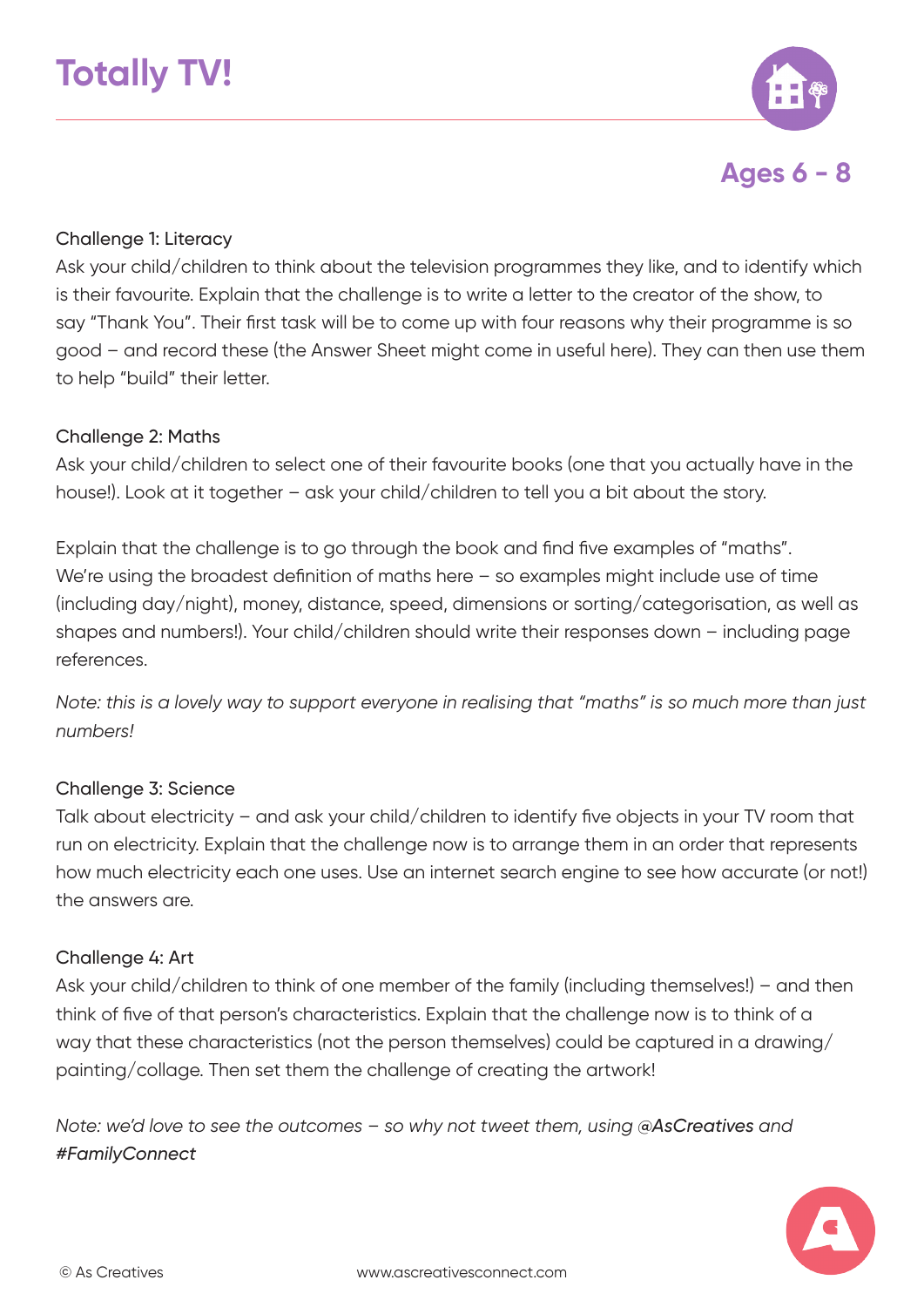

**Ages 6 - 8**

#### Challenge 1: Literacy

Ask your child/children to think about the television programmes they like, and to identify which is their favourite. Explain that the challenge is to write a letter to the creator of the show, to say "Thank You". Their first task will be to come up with four reasons why their programme is so good – and record these (the Answer Sheet might come in useful here). They can then use them to help "build" their letter.

#### Challenge 2: Maths

Ask your child/children to select one of their favourite books (one that you actually have in the house!). Look at it together – ask your child/children to tell you a bit about the story.

Explain that the challenge is to go through the book and find five examples of "maths". We're using the broadest definition of maths here - so examples might include use of time (including day/night), money, distance, speed, dimensions or sorting/categorisation, as well as shapes and numbers!). Your child/children should write their responses down – including page references.

*Note: this is a lovely way to support everyone in realising that "maths" is so much more than just numbers!*

#### Challenge 3: Science

Talk about electricity – and ask your child/children to identify five objects in your TV room that run on electricity. Explain that the challenge now is to arrange them in an order that represents how much electricity each one uses. Use an internet search engine to see how accurate (or not!) the answers are.

#### Challenge 4: Art

Ask your child/children to think of one member of the family (including themselves!) – and then think of five of that person's characteristics. Explain that the challenge now is to think of a way that these characteristics (not the person themselves) could be captured in a drawing/ painting/collage. Then set them the challenge of creating the artwork!

*Note: we'd love to see the outcomes - so why not tweet them, using @AsCreatives and #FamilyConnect*

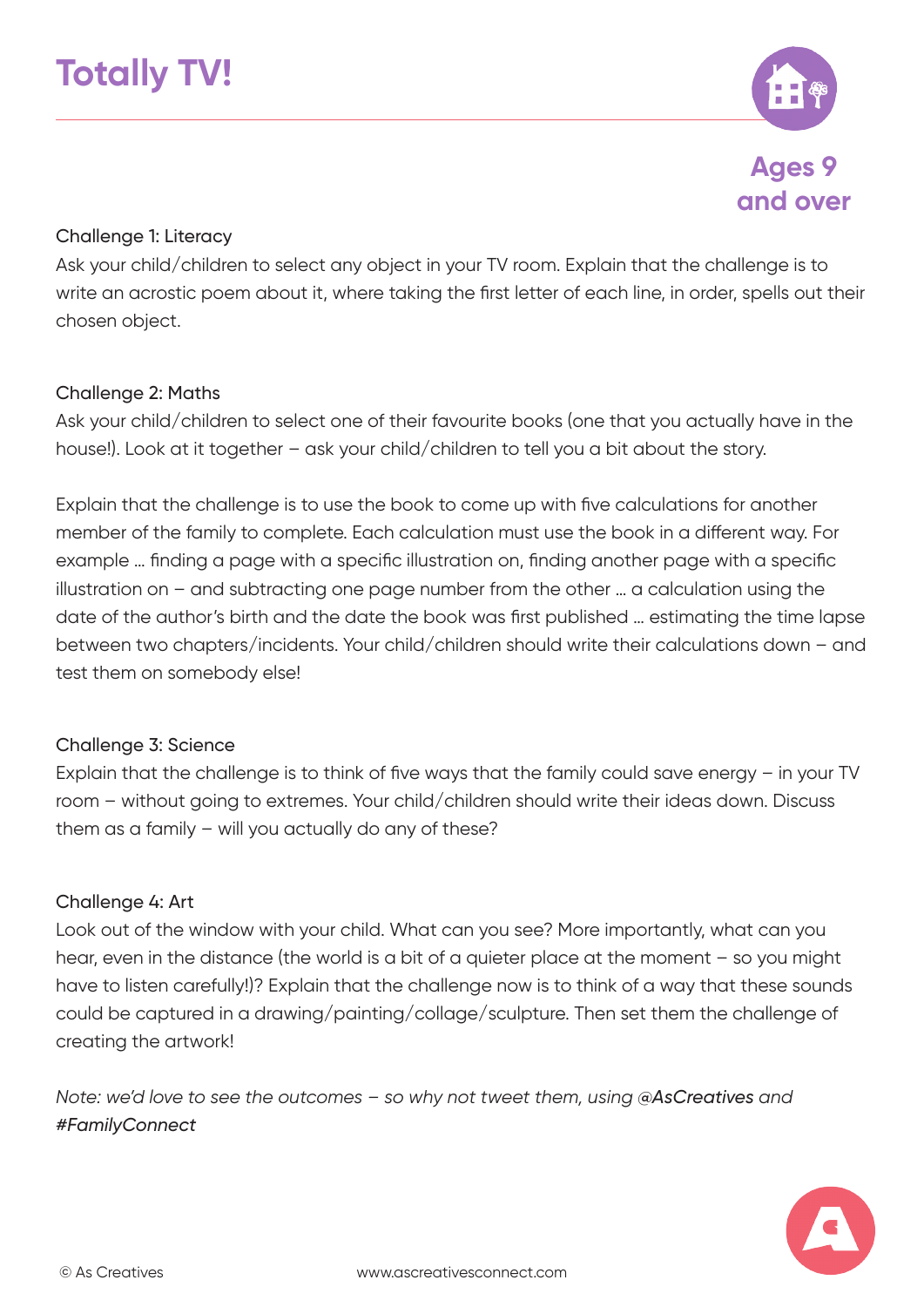

**Ages 9 and over**

#### Challenge 1: Literacy

Ask your child/children to select any object in your TV room. Explain that the challenge is to write an acrostic poem about it, where taking the first letter of each line, in order, spells out their chosen object.

#### Challenge 2: Maths

Ask your child/children to select one of their favourite books (one that you actually have in the house!). Look at it together – ask your child/children to tell you a bit about the story.

Explain that the challenge is to use the book to come up with five calculations for another member of the family to complete. Each calculation must use the book in a different way. For example … finding a page with a specific illustration on, finding another page with a specific illustration on – and subtracting one page number from the other … a calculation using the date of the author's birth and the date the book was first published … estimating the time lapse between two chapters/incidents. Your child/children should write their calculations down – and test them on somebody else!

#### Challenge 3: Science

Explain that the challenge is to think of five ways that the family could save energy – in your TV room – without going to extremes. Your child/children should write their ideas down. Discuss them as a family – will you actually do any of these?

#### Challenge 4: Art

Look out of the window with your child. What can you see? More importantly, what can you hear, even in the distance (the world is a bit of a quieter place at the moment - so you might have to listen carefully!)? Explain that the challenge now is to think of a way that these sounds could be captured in a drawing/painting/collage/sculpture. Then set them the challenge of creating the artwork!

*Note: we'd love to see the outcomes – so why not tweet them, using @AsCreatives and #FamilyConnect*

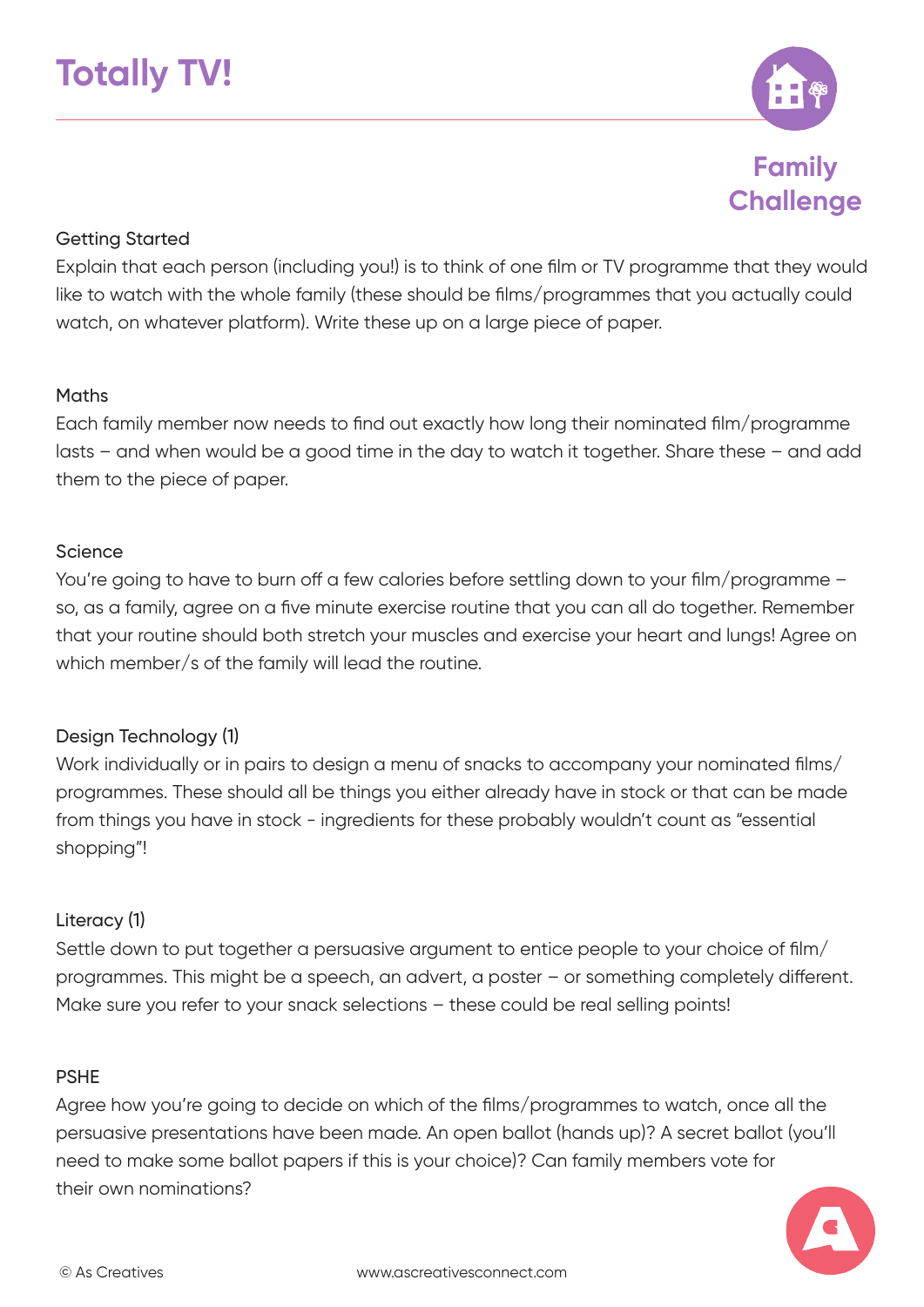

**Family Challenge**

#### Getting Started

Explain that each person (including you!) is to think of one film or TV programme that they would like to watch with the whole family (these should be films/programmes that you actually could watch, on whatever platform). Write these up on a large piece of paper.

#### **Maths**

Each family member now needs to find out exactly how long their nominated film/programme lasts – and when would be a good time in the day to watch it together. Share these – and add them to the piece of paper.

#### Science

You're going to have to burn off a few calories before settling down to your film/programme – so, as a family, agree on a five minute exercise routine that you can all do together. Remember that your routine should both stretch your muscles and exercise your heart and lungs! Agree on which member/s of the family will lead the routine.

#### Design Technology (1)

Work individually or in pairs to design a menu of snacks to accompany your nominated films/ programmes. These should all be things you either already have in stock or that can be made from things you have in stock - ingredients for these probably wouldn't count as "essential shopping"!

#### Literacy (1)

Settle down to put together a persuasive argument to entice people to your choice of film/ programmes. This might be a speech, an advert, a poster – or something completely different. Make sure you refer to your snack selections - these could be real selling points!

#### PSHE

Agree how you're going to decide on which of the films/programmes to watch, once all the persuasive presentations have been made. An open ballot (hands up)? A secret ballot (you'll need to make some ballot papers if this is your choice)? Can family members vote for their own nominations?